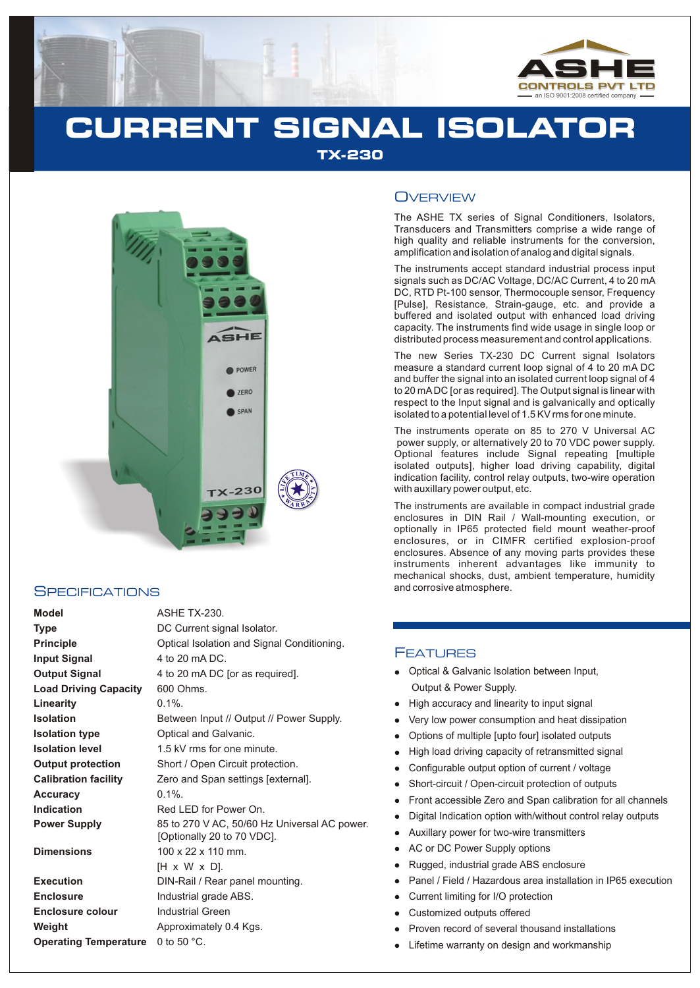

# **CURRENT SIGNAL ISOLATOR TX-230**



## **SPECIFICATIONS**

| Model                        | <b>ASHE TX-230.</b>                                                        |
|------------------------------|----------------------------------------------------------------------------|
| Type                         | DC Current signal Isolator.                                                |
| <b>Principle</b>             | Optical Isolation and Signal Conditioning.                                 |
| Input Signal                 | 4 to 20 mA DC.                                                             |
| Output Signal                | 4 to 20 mA DC [or as required].                                            |
| <b>Load Driving Capacity</b> | 600 Ohms.                                                                  |
| Linearity                    | $0.1\%$ .                                                                  |
| Isolation                    | Between Input // Output // Power Supply.                                   |
| Isolation type               | Optical and Galvanic.                                                      |
| <b>Isolation level</b>       | 1.5 kV rms for one minute.                                                 |
| Output protection            | Short / Open Circuit protection.                                           |
| Calibration facility         | Zero and Span settings [external].                                         |
| Accuracy                     | $0.1\%$ .                                                                  |
| Indication                   | Red LED for Power On.                                                      |
| <b>Power Supply</b>          | 85 to 270 V AC, 50/60 Hz Universal AC power.<br>[Optionally 20 to 70 VDC]. |
| <b>Dimensions</b>            | $100 \times 22 \times 110$ mm.                                             |
|                              | [H x W x D].                                                               |
| Execution                    | DIN-Rail / Rear panel mounting.                                            |
| <b>Enclosure</b>             | Industrial grade ABS.                                                      |
| Enclosure colour             | <b>Industrial Green</b>                                                    |
| Weight                       | Approximately 0.4 Kgs.                                                     |
| <b>Operating Temperature</b> | 0 to 50 $^{\circ}$ C.                                                      |

#### **OVERVIEW**

The ASHE TX series of Signal Conditioners, Isolators, Transducers and Transmitters comprise a wide range of high quality and reliable instruments for the conversion, amplification and isolation of analog and digital signals.

The instruments accept standard industrial process input signals such as DC/AC Voltage, DC/AC Current, 4 to 20 mA DC, RTD Pt-100 sensor, Thermocouple sensor, Frequency [Pulse], Resistance, Strain-gauge, etc. and provide a buffered and isolated output with enhanced load driving capacity. The instruments find wide usage in single loop or distributed process measurement and control applications.

The new Series TX-230 DC Current signal Isolators measure a standard current loop signal of 4 to 20 mA DC and buffer the signal into an isolated current loop signal of 4 to 20 mADC [or as required]. The Output signal is linear with respect to the Input signal and is galvanically and optically isolated to a potential level of 1.5 KV rms for one minute.

The instruments operate on 85 to 270 V Universal AC power supply, or alternatively 20 to 70 VDC power supply. Optional features include Signal repeating [multiple isolated outputs], higher load driving capability, digital indication facility, control relay outputs, two-wire operation with auxillary power output, etc.

The instruments are available in compact industrial grade enclosures in DIN Rail / Wall-mounting execution, or optionally in IP65 protected field mount weather-proof enclosures, or in CIMFR certified explosion-proof enclosures. Absence of any moving parts provides these instruments inherent advantages like immunity to mechanical shocks, dust, ambient temperature, humidity and corrosive atmosphere.

## **FEATURES**

- Optical & Galvanic Isolation between Input, Output & Power Supply.
- High accuracy and linearity to input signal
- llllllllllllllll Very low power consumption and heat dissipation
- Options of multiple [upto four] isolated outputs
- High load driving capacity of retransmitted signal  $\bullet$
- Configurable output option of current / voltage  $\bullet$
- Short-circuit / Open-circuit protection of outputs
- Front accessible Zero and Span calibration for all channels
- Digital Indication option with/without control relay outputs
- Auxillary power for two-wire transmitters
- AC or DC Power Supply options
- Rugged, industrial grade ABS enclosure
- Panel / Field / Hazardous area installation in IP65 execution
- Current limiting for I/O protection
- Customized outputs offered
- Proven record of several thousand installations
- Lifetime warranty on design and workmanship